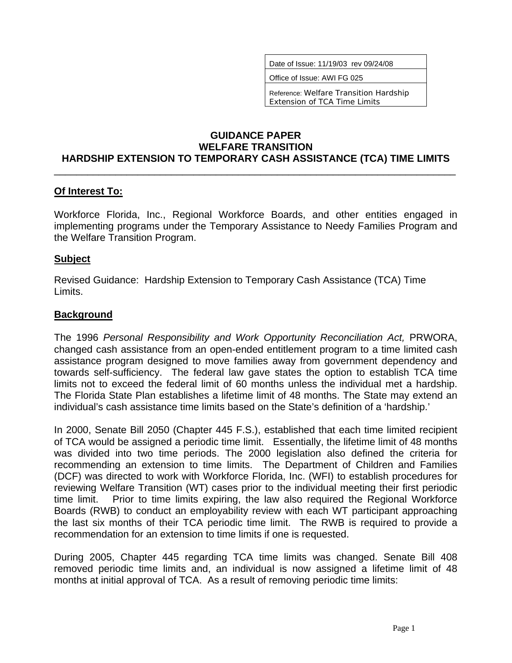Date of Issue: 11/19/03 rev 09/24/08

Office of Issue: AWI FG 025

Reference: Welfare Transition Hardship Extension of TCA Time Limits

#### **GUIDANCE PAPER WELFARE TRANSITION HARDSHIP EXTENSION TO TEMPORARY CASH ASSISTANCE (TCA) TIME LIMITS**

\_\_\_\_\_\_\_\_\_\_\_\_\_\_\_\_\_\_\_\_\_\_\_\_\_\_\_\_\_\_\_\_\_\_\_\_\_\_\_\_\_\_\_\_\_\_\_\_\_\_\_\_\_\_\_\_\_\_\_\_\_\_\_\_\_\_\_\_\_\_\_\_

#### **Of Interest To:**

Workforce Florida, Inc., Regional Workforce Boards, and other entities engaged in implementing programs under the Temporary Assistance to Needy Families Program and the Welfare Transition Program.

#### **Subject**

Revised Guidance: Hardship Extension to Temporary Cash Assistance (TCA) Time Limits.

#### **Background**

The 1996 *Personal Responsibility and Work Opportunity Reconciliation Act,* PRWORA, changed cash assistance from an open-ended entitlement program to a time limited cash assistance program designed to move families away from government dependency and towards self-sufficiency. The federal law gave states the option to establish TCA time limits not to exceed the federal limit of 60 months unless the individual met a hardship. The Florida State Plan establishes a lifetime limit of 48 months. The State may extend an individual's cash assistance time limits based on the State's definition of a 'hardship.'

In 2000, Senate Bill 2050 (Chapter 445 F.S.), established that each time limited recipient of TCA would be assigned a periodic time limit. Essentially, the lifetime limit of 48 months was divided into two time periods. The 2000 legislation also defined the criteria for recommending an extension to time limits. The Department of Children and Families (DCF) was directed to work with Workforce Florida, Inc. (WFI) to establish procedures for reviewing Welfare Transition (WT) cases prior to the individual meeting their first periodic time limit. Prior to time limits expiring, the law also required the Regional Workforce Boards (RWB) to conduct an employability review with each WT participant approaching the last six months of their TCA periodic time limit. The RWB is required to provide a recommendation for an extension to time limits if one is requested.

During 2005, Chapter 445 regarding TCA time limits was changed. Senate Bill 408 removed periodic time limits and, an individual is now assigned a lifetime limit of 48 months at initial approval of TCA. As a result of removing periodic time limits: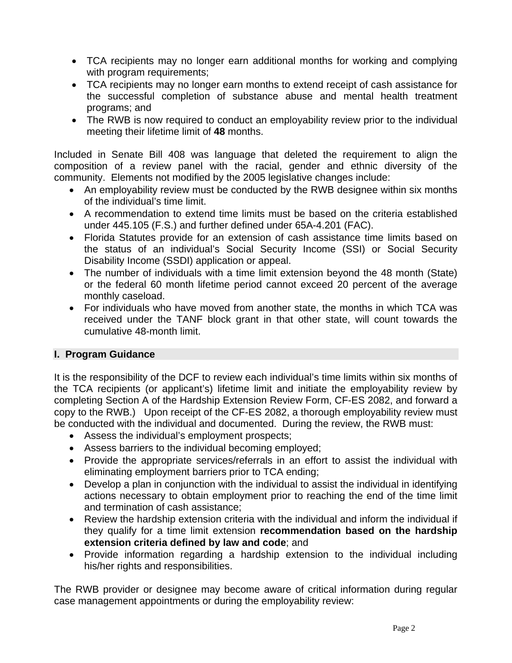- TCA recipients may no longer earn additional months for working and complying with program requirements;
- TCA recipients may no longer earn months to extend receipt of cash assistance for the successful completion of substance abuse and mental health treatment programs; and
- The RWB is now required to conduct an employability review prior to the individual meeting their lifetime limit of **48** months.

Included in Senate Bill 408 was language that deleted the requirement to align the composition of a review panel with the racial, gender and ethnic diversity of the community. Elements not modified by the 2005 legislative changes include:

- An employability review must be conducted by the RWB designee within six months of the individual's time limit.
- A recommendation to extend time limits must be based on the criteria established under 445.105 (F.S.) and further defined under 65A-4.201 (FAC).
- Florida Statutes provide for an extension of cash assistance time limits based on the status of an individual's Social Security Income (SSI) or Social Security Disability Income (SSDI) application or appeal.
- The number of individuals with a time limit extension beyond the 48 month (State) or the federal 60 month lifetime period cannot exceed 20 percent of the average monthly caseload.
- For individuals who have moved from another state, the months in which TCA was received under the TANF block grant in that other state, will count towards the cumulative 48-month limit.

# **I. Program Guidance**

It is the responsibility of the DCF to review each individual's time limits within six months of the TCA recipients (or applicant's) lifetime limit and initiate the employability review by completing Section A of the Hardship Extension Review Form, CF-ES 2082, and forward a copy to the RWB.) Upon receipt of the CF-ES 2082, a thorough employability review must be conducted with the individual and documented. During the review, the RWB must:

- Assess the individual's employment prospects;
- Assess barriers to the individual becoming employed;
- Provide the appropriate services/referrals in an effort to assist the individual with eliminating employment barriers prior to TCA ending;
- Develop a plan in conjunction with the individual to assist the individual in identifying actions necessary to obtain employment prior to reaching the end of the time limit and termination of cash assistance;
- Review the hardship extension criteria with the individual and inform the individual if they qualify for a time limit extension **recommendation based on the hardship extension criteria defined by law and code**; and
- Provide information regarding a hardship extension to the individual including his/her rights and responsibilities.

The RWB provider or designee may become aware of critical information during regular case management appointments or during the employability review: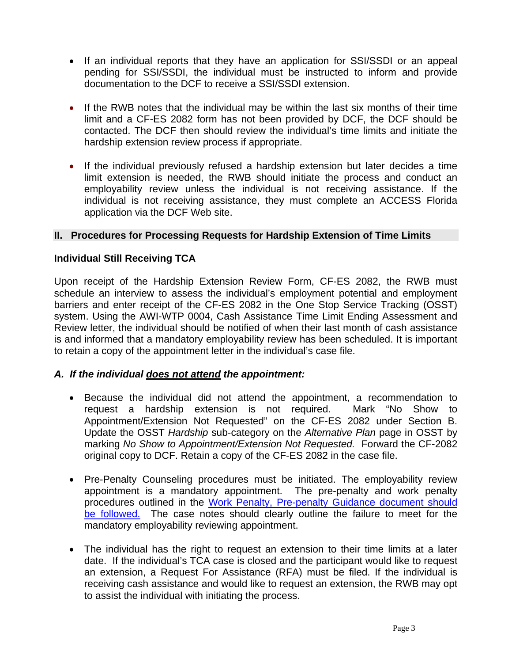- If an individual reports that they have an application for SSI/SSDI or an appeal pending for SSI/SSDI, the individual must be instructed to inform and provide documentation to the DCF to receive a SSI/SSDI extension.
- If the RWB notes that the individual may be within the last six months of their time limit and a CF-ES 2082 form has not been provided by DCF, the DCF should be contacted. The DCF then should review the individual's time limits and initiate the hardship extension review process if appropriate.
- If the individual previously refused a hardship extension but later decides a time limit extension is needed, the RWB should initiate the process and conduct an employability review unless the individual is not receiving assistance. If the individual is not receiving assistance, they must complete an ACCESS Florida application via the DCF Web site.

# **II. Procedures for Processing Requests for Hardship Extension of Time Limits**

## **Individual Still Receiving TCA**

Upon receipt of the Hardship Extension Review Form, CF-ES 2082, the RWB must schedule an interview to assess the individual's employment potential and employment barriers and enter receipt of the CF-ES 2082 in the One Stop Service Tracking (OSST) system. Using the AWI-WTP 0004, Cash Assistance Time Limit Ending Assessment and Review letter, the individual should be notified of when their last month of cash assistance is and informed that a mandatory employability review has been scheduled. It is important to retain a copy of the appointment letter in the individual's case file.

## *A. If the individual does not attend the appointment:*

- Because the individual did not attend the appointment, a recommendation to request a hardship extension is not required. Mark "No Show to Appointment/Extension Not Requested" on the CF-ES 2082 under Section B. Update the OSST *Hardship* sub-category on the *Alternative Plan* page in OSST by marking *No Show to Appointment/Extension Not Requested.* Forward the CF-2082 original copy to DCF. Retain a copy of the CF-ES 2082 in the case file.
- Pre-Penalty Counseling procedures must be initiated. The employability review appointment is a mandatory appointment. The pre-penalty and work penalty procedures outlined in the [Work Penalty, Pre-penalty Guidance document should](http://www.floridajobs.org/pdg/guidancepapers/037wrkpenaltyprepenaltywtrev012104.rtf)  [be followed.](http://www.floridajobs.org/pdg/guidancepapers/037wrkpenaltyprepenaltywtrev012104.rtf) The case notes should clearly outline the failure to meet for the mandatory employability reviewing appointment.
- The individual has the right to request an extension to their time limits at a later date. If the individual's TCA case is closed and the participant would like to request an extension, a Request For Assistance (RFA) must be filed. If the individual is receiving cash assistance and would like to request an extension, the RWB may opt to assist the individual with initiating the process.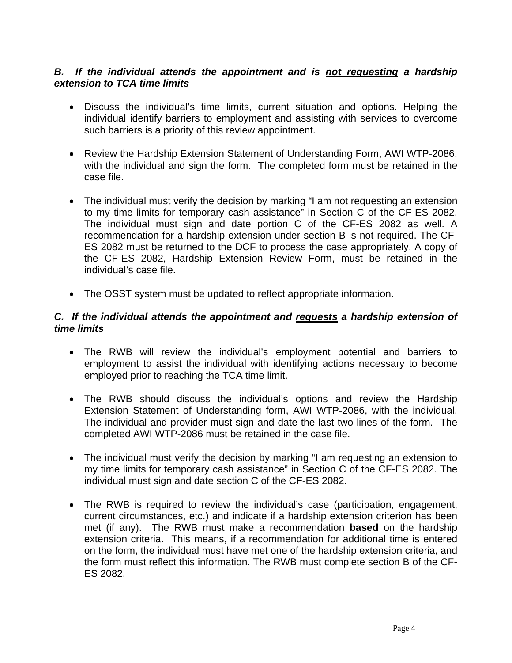## **B.** If the individual attends the appointment and is not requesting a hardship *extension to TCA time limits*

- Discuss the individual's time limits, current situation and options. Helping the individual identify barriers to employment and assisting with services to overcome such barriers is a priority of this review appointment.
- Review the Hardship Extension Statement of Understanding Form, AWI WTP-2086, with the individual and sign the form. The completed form must be retained in the case file.
- The individual must verify the decision by marking "I am not requesting an extension to my time limits for temporary cash assistance" in Section C of the CF-ES 2082. The individual must sign and date portion C of the CF-ES 2082 as well. A recommendation for a hardship extension under section B is not required. The CF-ES 2082 must be returned to the DCF to process the case appropriately. A copy of the CF-ES 2082, Hardship Extension Review Form, must be retained in the individual's case file.
- The OSST system must be updated to reflect appropriate information.

## *C. If the individual attends the appointment and requests a hardship extension of time limits*

- The RWB will review the individual's employment potential and barriers to employment to assist the individual with identifying actions necessary to become employed prior to reaching the TCA time limit.
- The RWB should discuss the individual's options and review the Hardship Extension Statement of Understanding form, AWI WTP-2086, with the individual. The individual and provider must sign and date the last two lines of the form. The completed AWI WTP-2086 must be retained in the case file.
- The individual must verify the decision by marking "I am requesting an extension to my time limits for temporary cash assistance" in Section C of the CF-ES 2082. The individual must sign and date section C of the CF-ES 2082.
- The RWB is required to review the individual's case (participation, engagement, current circumstances, etc.) and indicate if a hardship extension criterion has been met (if any). The RWB must make a recommendation **based** on the hardship extension criteria. This means, if a recommendation for additional time is entered on the form, the individual must have met one of the hardship extension criteria, and the form must reflect this information. The RWB must complete section B of the CF-ES 2082.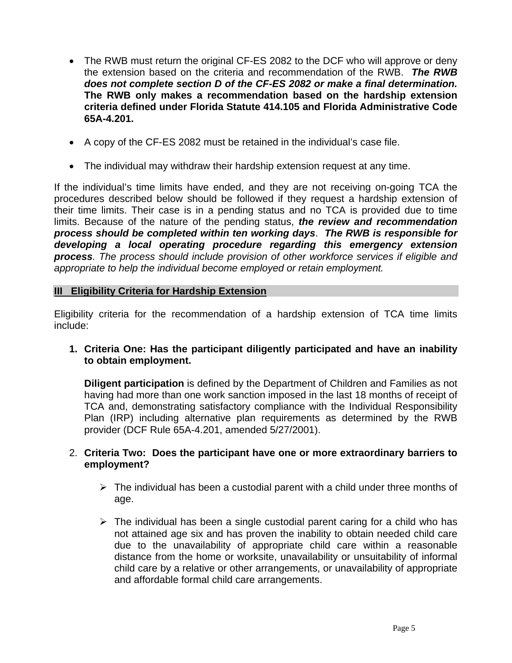- The RWB must return the original CF-ES 2082 to the DCF who will approve or deny the extension based on the criteria and recommendation of the RWB. *The RWB does not complete section D of the CF-ES 2082 or make a final determination.* **The RWB only makes a recommendation based on the hardship extension criteria defined under Florida Statute 414.105 and Florida Administrative Code 65A-4.201.**
- A copy of the CF-ES 2082 must be retained in the individual's case file.
- The individual may withdraw their hardship extension request at any time.

If the individual's time limits have ended, and they are not receiving on-going TCA the procedures described below should be followed if they request a hardship extension of their time limits. Their case is in a pending status and no TCA is provided due to time limits. Because of the nature of the pending status, *the review and recommendation process should be completed within ten working days*. *The RWB is responsible for developing a local operating procedure regarding this emergency extension process. The process should include provision of other workforce services if eligible and appropriate to help the individual become employed or retain employment.* 

## **III Eligibility Criteria for Hardship Extension**

Eligibility criteria for the recommendation of a hardship extension of TCA time limits include:

**1. Criteria One: Has the participant diligently participated and have an inability to obtain employment.** 

**Diligent participation** is defined by the Department of Children and Families as not having had more than one work sanction imposed in the last 18 months of receipt of TCA and, demonstrating satisfactory compliance with the Individual Responsibility Plan (IRP) including alternative plan requirements as determined by the RWB provider (DCF Rule 65A-4.201, amended 5/27/2001).

## 2. **Criteria Two: Does the participant have one or more extraordinary barriers to employment?**

- $\triangleright$  The individual has been a custodial parent with a child under three months of age.
- $\triangleright$  The individual has been a single custodial parent caring for a child who has not attained age six and has proven the inability to obtain needed child care due to the unavailability of appropriate child care within a reasonable distance from the home or worksite, unavailability or unsuitability of informal child care by a relative or other arrangements, or unavailability of appropriate and affordable formal child care arrangements.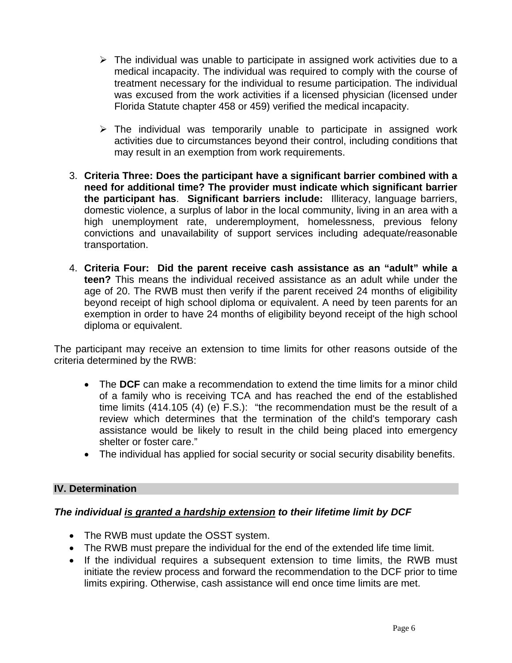- $\triangleright$  The individual was unable to participate in assigned work activities due to a medical incapacity. The individual was required to comply with the course of treatment necessary for the individual to resume participation. The individual was excused from the work activities if a licensed physician (licensed under Florida Statute chapter 458 or 459) verified the medical incapacity.
- $\triangleright$  The individual was temporarily unable to participate in assigned work activities due to circumstances beyond their control, including conditions that may result in an exemption from work requirements.
- 3. **Criteria Three: Does the participant have a significant barrier combined with a need for additional time? The provider must indicate which significant barrier the participant has**. **Significant barriers include:** Illiteracy, language barriers, domestic violence, a surplus of labor in the local community, living in an area with a high unemployment rate, underemployment, homelessness, previous felony convictions and unavailability of support services including adequate/reasonable transportation.
- 4. **Criteria Four: Did the parent receive cash assistance as an "adult" while a teen?** This means the individual received assistance as an adult while under the age of 20. The RWB must then verify if the parent received 24 months of eligibility beyond receipt of high school diploma or equivalent. A need by teen parents for an exemption in order to have 24 months of eligibility beyond receipt of the high school diploma or equivalent.

The participant may receive an extension to time limits for other reasons outside of the criteria determined by the RWB:

- The **DCF** can make a recommendation to extend the time limits for a minor child of a family who is receiving TCA and has reached the end of the established time limits (414.105 (4) (e) F.S.): "the recommendation must be the result of a review which determines that the termination of the child's temporary cash assistance would be likely to result in the child being placed into emergency shelter or foster care."
- The individual has applied for social security or social security disability benefits.

## **IV. Determination**

## *The individual is granted a hardship extension to their lifetime limit by DCF*

- The RWB must update the OSST system.
- The RWB must prepare the individual for the end of the extended life time limit.
- If the individual requires a subsequent extension to time limits, the RWB must initiate the review process and forward the recommendation to the DCF prior to time limits expiring. Otherwise, cash assistance will end once time limits are met.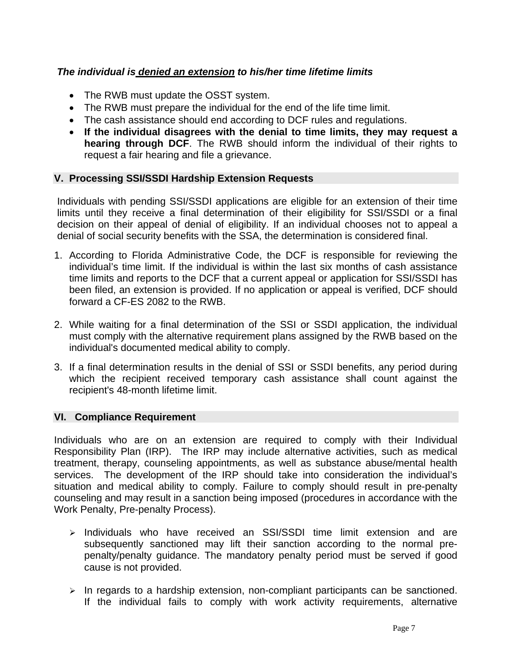# *The individual is denied an extension to his/her time lifetime limits*

- The RWB must update the OSST system.
- The RWB must prepare the individual for the end of the life time limit.
- The cash assistance should end according to DCF rules and regulations.
- **If the individual disagrees with the denial to time limits, they may request a hearing through DCF**. The RWB should inform the individual of their rights to request a fair hearing and file a grievance.

## **V. Processing SSI/SSDI Hardship Extension Requests**

Individuals with pending SSI/SSDI applications are eligible for an extension of their time limits until they receive a final determination of their eligibility for SSI/SSDI or a final decision on their appeal of denial of eligibility. If an individual chooses not to appeal a denial of social security benefits with the SSA, the determination is considered final.

- 1. According to Florida Administrative Code, the DCF is responsible for reviewing the individual's time limit. If the individual is within the last six months of cash assistance time limits and reports to the DCF that a current appeal or application for SSI/SSDI has been filed, an extension is provided. If no application or appeal is verified, DCF should forward a CF-ES 2082 to the RWB.
- 2. While waiting for a final determination of the SSI or SSDI application, the individual must comply with the alternative requirement plans assigned by the RWB based on the individual's documented medical ability to comply.
- 3. If a final determination results in the denial of SSI or SSDI benefits, any period during which the recipient received temporary cash assistance shall count against the recipient's 48-month lifetime limit.

## **VI. Compliance Requirement**

Individuals who are on an extension are required to comply with their Individual Responsibility Plan (IRP). The IRP may include alternative activities, such as medical treatment, therapy, counseling appointments, as well as substance abuse/mental health services. The development of the IRP should take into consideration the individual's situation and medical ability to comply. Failure to comply should result in pre-penalty counseling and may result in a sanction being imposed (procedures in accordance with the Work Penalty, Pre-penalty Process).

- $\ge$  Individuals who have received an SSI/SSDI time limit extension and are subsequently sanctioned may lift their sanction according to the normal prepenalty/penalty guidance. The mandatory penalty period must be served if good cause is not provided.
- $\triangleright$  In regards to a hardship extension, non-compliant participants can be sanctioned. If the individual fails to comply with work activity requirements, alternative